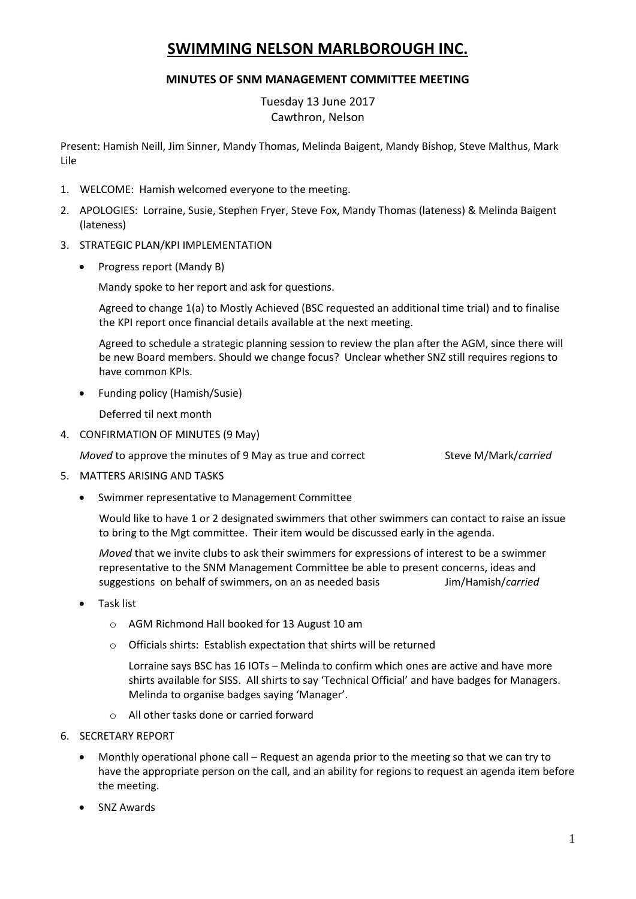# **SWIMMING NELSON MARLBOROUGH INC.**

## **MINUTES OF SNM MANAGEMENT COMMITTEE MEETING**

Tuesday 13 June 2017 Cawthron, Nelson

Present: Hamish Neill, Jim Sinner, Mandy Thomas, Melinda Baigent, Mandy Bishop, Steve Malthus, Mark Lile

- 1. WELCOME: Hamish welcomed everyone to the meeting.
- 2. APOLOGIES: Lorraine, Susie, Stephen Fryer, Steve Fox, Mandy Thomas (lateness) & Melinda Baigent (lateness)
- 3. STRATEGIC PLAN/KPI IMPLEMENTATION
	- Progress report (Mandy B)

Mandy spoke to her report and ask for questions.

Agreed to change 1(a) to Mostly Achieved (BSC requested an additional time trial) and to finalise the KPI report once financial details available at the next meeting.

Agreed to schedule a strategic planning session to review the plan after the AGM, since there will be new Board members. Should we change focus? Unclear whether SNZ still requires regions to have common KPIs.

• Funding policy (Hamish/Susie)

Deferred til next month

4. CONFIRMATION OF MINUTES (9 May)

*Moved* to approve the minutes of 9 May as true and correct Steve M/Mark/*carried* 

- 5. MATTERS ARISING AND TASKS
	- Swimmer representative to Management Committee

Would like to have 1 or 2 designated swimmers that other swimmers can contact to raise an issue to bring to the Mgt committee. Their item would be discussed early in the agenda.

*Moved* that we invite clubs to ask their swimmers for expressions of interest to be a swimmer representative to the SNM Management Committee be able to present concerns, ideas and suggestions on behalf of swimmers, on an as needed basis Jim/Hamish/*carried*

- Task list
	- o AGM Richmond Hall booked for 13 August 10 am
	- o Officials shirts: Establish expectation that shirts will be returned

Lorraine says BSC has 16 IOTs – Melinda to confirm which ones are active and have more shirts available for SISS. All shirts to say 'Technical Official' and have badges for Managers. Melinda to organise badges saying 'Manager'.

- o All other tasks done or carried forward
- 6. SECRETARY REPORT
	- Monthly operational phone call Request an agenda prior to the meeting so that we can try to have the appropriate person on the call, and an ability for regions to request an agenda item before the meeting.
	- SNZ Awards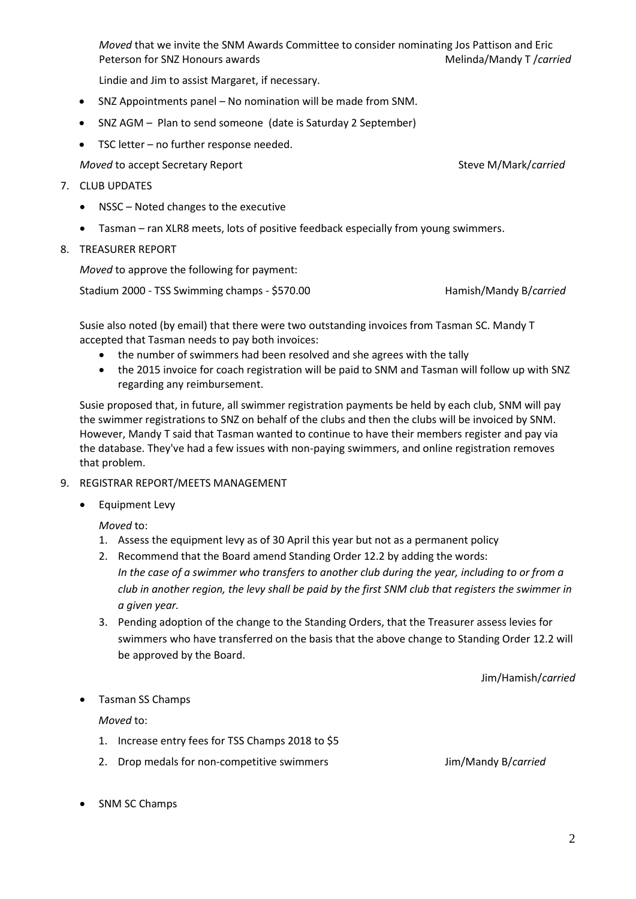*Moved* that we invite the SNM Awards Committee to consider nominating Jos Pattison and Eric Peterson for SNZ Honours awards Melinda/Mandy T /*carried* 

Lindie and Jim to assist Margaret, if necessary.

- SNZ Appointments panel No nomination will be made from SNM.
- SNZ AGM Plan to send someone (date is Saturday 2 September)
- TSC letter no further response needed.

*Moved* to accept Secretary Report Steve M/Mark/*carried* Steve M/Mark/*carried* 

- 7. CLUB UPDATES
	- NSSC Noted changes to the executive
	- Tasman ran XLR8 meets, lots of positive feedback especially from young swimmers.
- 8. TREASURER REPORT

*Moved* to approve the following for payment:

Stadium 2000 - TSS Swimming champs - \$570.00 Hamish/Mandy B/*carried*

Susie also noted (by email) that there were two outstanding invoices from Tasman SC. Mandy T accepted that Tasman needs to pay both invoices:

- the number of swimmers had been resolved and she agrees with the tally
- the 2015 invoice for coach registration will be paid to SNM and Tasman will follow up with SNZ regarding any reimbursement.

Susie proposed that, in future, all swimmer registration payments be held by each club, SNM will pay the swimmer registrations to SNZ on behalf of the clubs and then the clubs will be invoiced by SNM. However, Mandy T said that Tasman wanted to continue to have their members register and pay via the database. They've had a few issues with non-paying swimmers, and online registration removes that problem.

- 9. REGISTRAR REPORT/MEETS MANAGEMENT
	- Equipment Levy

*Moved* to:

- 1. Assess the equipment levy as of 30 April this year but not as a permanent policy
- 2. Recommend that the Board amend Standing Order 12.2 by adding the words: *In the case of a swimmer who transfers to another club during the year, including to or from a club in another region, the levy shall be paid by the first SNM club that registers the swimmer in a given year.*
- 3. Pending adoption of the change to the Standing Orders, that the Treasurer assess levies for swimmers who have transferred on the basis that the above change to Standing Order 12.2 will be approved by the Board.

Jim/Hamish/*carried*

• Tasman SS Champs

*Moved* to:

- 1. Increase entry fees for TSS Champs 2018 to \$5
- 2. Drop medals for non-competitive swimmers Jim/Mandy B/*carried*

• SNM SC Champs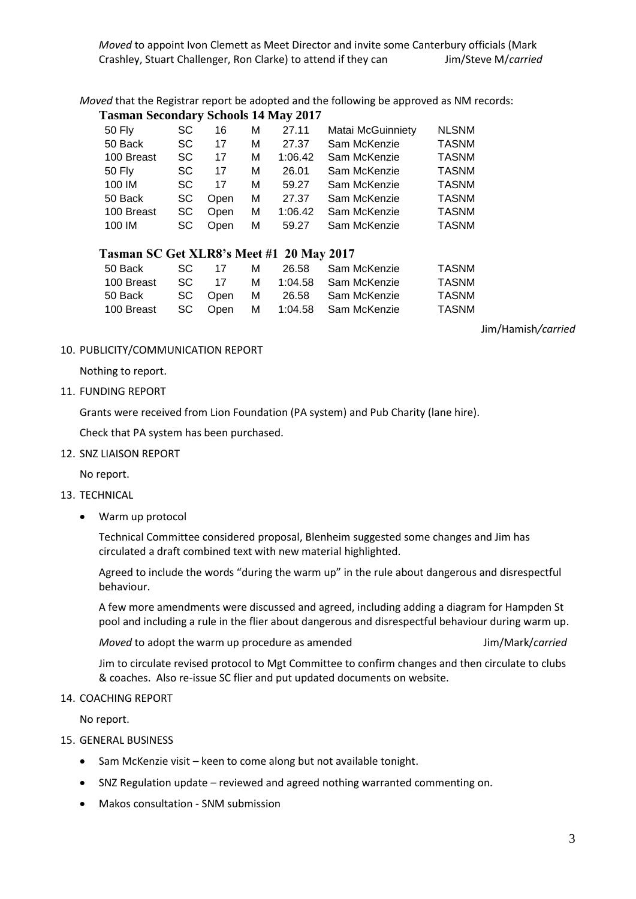*Moved* that the Registrar report be adopted and the following be approved as NM records:

#### **Tasman Secondary Schools 14 May 2017**

| 50 Fly     | SC  | 16   | м | 27.11   | Matai McGuinniety | <b>NLSNM</b> |
|------------|-----|------|---|---------|-------------------|--------------|
| 50 Back    | SC. | 17   | м | 27.37   | Sam McKenzie      | <b>TASNM</b> |
| 100 Breast | SC. | 17   | м | 1:06.42 | Sam McKenzie      | <b>TASNM</b> |
| 50 Fly     | SC. | 17   | м | 26.01   | Sam McKenzie      | <b>TASNM</b> |
| 100 IM     | SC. | 17   | м | 59.27   | Sam McKenzie      | <b>TASNM</b> |
| 50 Back    | SC. | Open | м | 27.37   | Sam McKenzie      | <b>TASNM</b> |
| 100 Breast | SC  | Open | М | 1:06.42 | Sam McKenzie      | <b>TASNM</b> |
| 100 IM     | SC. | Open | М | 59.27   | Sam McKenzie      | <b>TASNM</b> |

## **Tasman SC Get XLR8's Meet #1 20 May 2017**

| 50 Back    | -SC | 17    | M |  | 26.58   Sam McKenzie           | TASNM |  |  |  |
|------------|-----|-------|---|--|--------------------------------|-------|--|--|--|
| 100 Breast |     | SC 17 |   |  | M 1:04.58 Sam McKenzie         | TASNM |  |  |  |
| 50 Back l  |     |       |   |  | SC Open M 26.58 Sam McKenzie   | TASNM |  |  |  |
| 100 Breast |     |       |   |  | SC Open M 1:04.58 Sam McKenzie | TASNM |  |  |  |

Jim/Hamish*/carried*

## 10. PUBLICITY/COMMUNICATION REPORT

Nothing to report.

### 11. FUNDING REPORT

Grants were received from Lion Foundation (PA system) and Pub Charity (lane hire).

Check that PA system has been purchased.

12. SNZ LIAISON REPORT

No report.

#### 13. TECHNICAL

Warm up protocol

Technical Committee considered proposal, Blenheim suggested some changes and Jim has circulated a draft combined text with new material highlighted.

Agreed to include the words "during the warm up" in the rule about dangerous and disrespectful behaviour.

A few more amendments were discussed and agreed, including adding a diagram for Hampden St pool and including a rule in the flier about dangerous and disrespectful behaviour during warm up.

#### *Moved* to adopt the warm up procedure as amended Jim/Mark/*carried*

Jim to circulate revised protocol to Mgt Committee to confirm changes and then circulate to clubs & coaches. Also re-issue SC flier and put updated documents on website.

## 14. COACHING REPORT

No report.

- 15. GENERAL BUSINESS
	- Sam McKenzie visit keen to come along but not available tonight.
	- SNZ Regulation update reviewed and agreed nothing warranted commenting on.
	- Makos consultation SNM submission